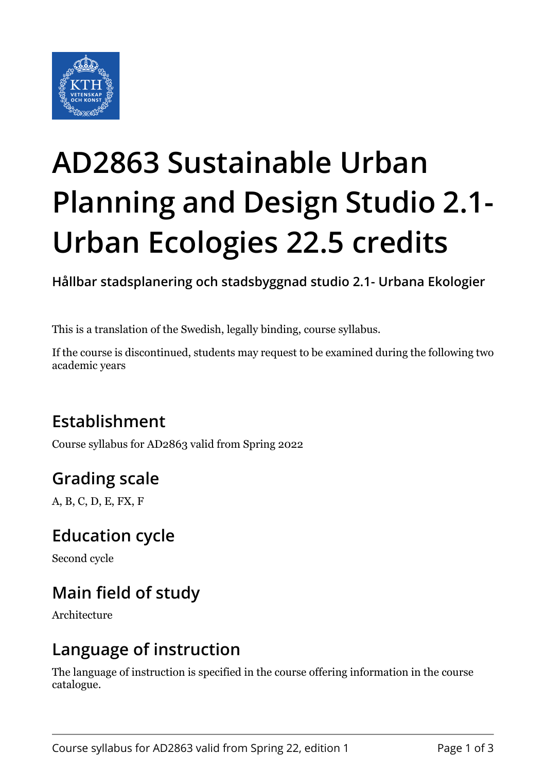

# **AD2863 Sustainable Urban Planning and Design Studio 2.1- Urban Ecologies 22.5 credits**

**Hållbar stadsplanering och stadsbyggnad studio 2.1- Urbana Ekologier**

This is a translation of the Swedish, legally binding, course syllabus.

If the course is discontinued, students may request to be examined during the following two academic years

### **Establishment**

Course syllabus for AD2863 valid from Spring 2022

### **Grading scale**

A, B, C, D, E, FX, F

#### **Education cycle**

Second cycle

### **Main field of study**

Architecture

#### **Language of instruction**

The language of instruction is specified in the course offering information in the course catalogue.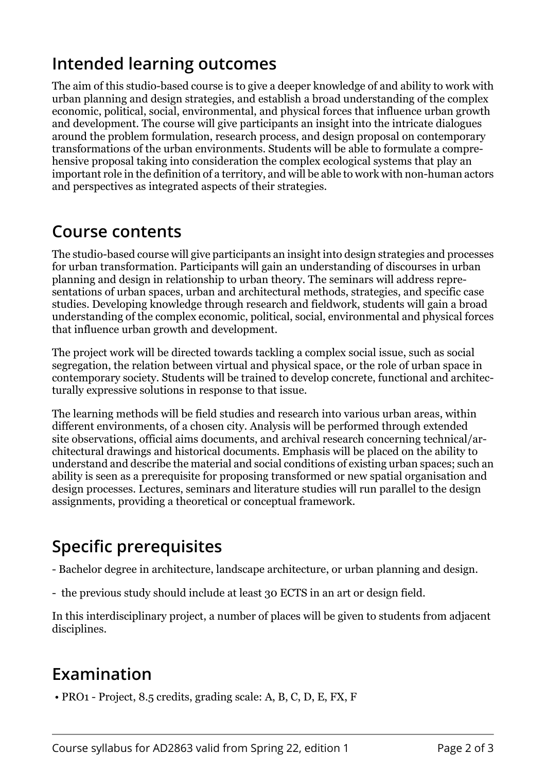### **Intended learning outcomes**

The aim of this studio-based course is to give a deeper knowledge of and ability to work with urban planning and design strategies, and establish a broad understanding of the complex economic, political, social, environmental, and physical forces that influence urban growth and development. The course will give participants an insight into the intricate dialogues around the problem formulation, research process, and design proposal on contemporary transformations of the urban environments. Students will be able to formulate a comprehensive proposal taking into consideration the complex ecological systems that play an important role in the definition of a territory, and will be able to work with non-human actors and perspectives as integrated aspects of their strategies.

#### **Course contents**

The studio-based course will give participants an insight into design strategies and processes for urban transformation. Participants will gain an understanding of discourses in urban planning and design in relationship to urban theory. The seminars will address representations of urban spaces, urban and architectural methods, strategies, and specific case studies. Developing knowledge through research and fieldwork, students will gain a broad understanding of the complex economic, political, social, environmental and physical forces that influence urban growth and development.

The project work will be directed towards tackling a complex social issue, such as social segregation, the relation between virtual and physical space, or the role of urban space in contemporary society. Students will be trained to develop concrete, functional and architecturally expressive solutions in response to that issue.

The learning methods will be field studies and research into various urban areas, within different environments, of a chosen city. Analysis will be performed through extended site observations, official aims documents, and archival research concerning technical/architectural drawings and historical documents. Emphasis will be placed on the ability to understand and describe the material and social conditions of existing urban spaces; such an ability is seen as a prerequisite for proposing transformed or new spatial organisation and design processes. Lectures, seminars and literature studies will run parallel to the design assignments, providing a theoretical or conceptual framework.

# **Specific prerequisites**

- Bachelor degree in architecture, landscape architecture, or urban planning and design.
- the previous study should include at least 30 ECTS in an art or design field.

In this interdisciplinary project, a number of places will be given to students from adjacent disciplines.

#### **Examination**

• PRO1 - Project, 8.5 credits, grading scale: A, B, C, D, E, FX, F